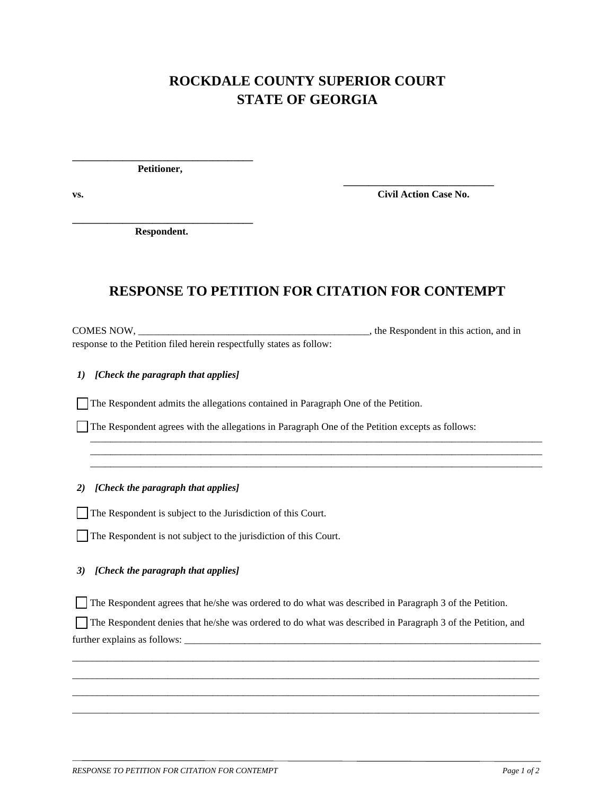# **ROCKDALE COUNTY SUPERIOR COURT STATE OF GEORGIA**

 **\_\_\_\_\_\_\_\_\_\_\_\_\_\_\_\_\_\_\_\_\_\_\_\_\_\_\_\_\_\_**

**\_\_\_\_\_\_\_\_\_\_\_\_\_\_\_\_\_\_\_\_\_\_\_\_\_\_\_\_\_\_\_\_\_\_\_\_ Petitioner,** 

**vs. Civil Action Case No.** 

**\_\_\_\_\_\_\_\_\_\_\_\_\_\_\_\_\_\_\_\_\_\_\_\_\_\_\_\_\_\_\_\_\_\_\_\_ Respondent.** 

## **RESPONSE TO PETITION FOR CITATION FOR CONTEMPT**

\_\_\_\_\_\_\_\_\_\_\_\_\_\_\_\_\_\_\_\_\_\_\_\_\_\_\_\_\_\_\_\_\_\_\_\_\_\_\_\_\_\_\_\_\_\_\_\_\_\_\_\_\_\_\_\_\_\_\_\_\_\_\_\_\_\_\_\_\_\_\_\_\_\_\_\_\_\_\_\_\_\_\_\_\_\_\_\_\_\_ \_\_\_\_\_\_\_\_\_\_\_\_\_\_\_\_\_\_\_\_\_\_\_\_\_\_\_\_\_\_\_\_\_\_\_\_\_\_\_\_\_\_\_\_\_\_\_\_\_\_\_\_\_\_\_\_\_\_\_\_\_\_\_\_\_\_\_\_\_\_\_\_\_\_\_\_\_\_\_\_\_\_\_\_\_\_\_\_\_\_ \_\_\_\_\_\_\_\_\_\_\_\_\_\_\_\_\_\_\_\_\_\_\_\_\_\_\_\_\_\_\_\_\_\_\_\_\_\_\_\_\_\_\_\_\_\_\_\_\_\_\_\_\_\_\_\_\_\_\_\_\_\_\_\_\_\_\_\_\_\_\_\_\_\_\_\_\_\_\_\_\_\_\_\_\_\_\_\_\_\_

COMES NOW, \_\_\_\_\_\_\_\_\_\_\_\_\_\_\_\_\_\_\_\_\_\_\_\_\_\_\_\_\_\_\_\_\_\_\_\_\_\_\_\_\_\_\_\_\_\_, the Respondent in this action, and in response to the Petition filed herein respectfully states as follow:

*1) [Check the paragraph that applies]*

The Respondent admits the allegations contained in Paragraph One of the Petition.

The Respondent agrees with the allegations in Paragraph One of the Petition excepts as follows:

*2) [Check the paragraph that applies]*

The Respondent is subject to the Jurisdiction of this Court.

The Respondent is not subject to the jurisdiction of this Court.

### *3) [Check the paragraph that applies]*

The Respondent agrees that he/she was ordered to do what was described in Paragraph 3 of the Petition.

 The Respondent denies that he/she was ordered to do what was described in Paragraph 3 of the Petition, and  $further explains as follows: ___________$ 

\_\_\_\_\_\_\_\_\_\_\_\_\_\_\_\_\_\_\_\_\_\_\_\_\_\_\_\_\_\_\_\_\_\_\_\_\_\_\_\_\_\_\_\_\_\_\_\_\_\_\_\_\_\_\_\_\_\_\_\_\_\_\_\_\_\_\_\_\_\_\_\_\_\_\_\_\_\_\_\_\_\_\_\_\_\_\_\_\_\_\_\_\_ \_\_\_\_\_\_\_\_\_\_\_\_\_\_\_\_\_\_\_\_\_\_\_\_\_\_\_\_\_\_\_\_\_\_\_\_\_\_\_\_\_\_\_\_\_\_\_\_\_\_\_\_\_\_\_\_\_\_\_\_\_\_\_\_\_\_\_\_\_\_\_\_\_\_\_\_\_\_\_\_\_\_\_\_\_\_\_\_\_\_\_\_\_ \_\_\_\_\_\_\_\_\_\_\_\_\_\_\_\_\_\_\_\_\_\_\_\_\_\_\_\_\_\_\_\_\_\_\_\_\_\_\_\_\_\_\_\_\_\_\_\_\_\_\_\_\_\_\_\_\_\_\_\_\_\_\_\_\_\_\_\_\_\_\_\_\_\_\_\_\_\_\_\_\_\_\_\_\_\_\_\_\_\_\_\_\_ \_\_\_\_\_\_\_\_\_\_\_\_\_\_\_\_\_\_\_\_\_\_\_\_\_\_\_\_\_\_\_\_\_\_\_\_\_\_\_\_\_\_\_\_\_\_\_\_\_\_\_\_\_\_\_\_\_\_\_\_\_\_\_\_\_\_\_\_\_\_\_\_\_\_\_\_\_\_\_\_\_\_\_\_\_\_\_\_\_\_\_\_\_